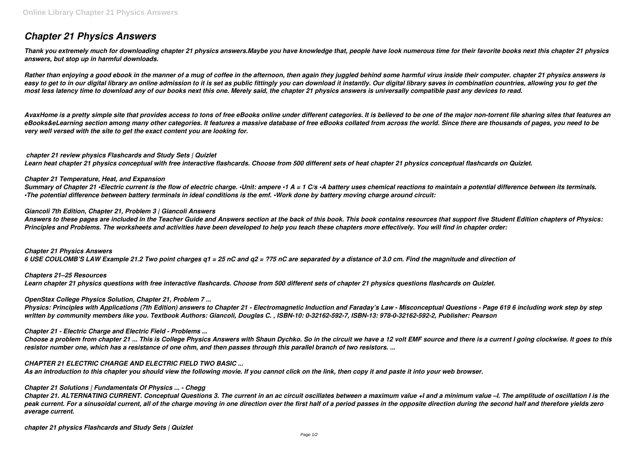# *Chapter 21 Physics Answers*

*Thank you extremely much for downloading chapter 21 physics answers.Maybe you have knowledge that, people have look numerous time for their favorite books next this chapter 21 physics answers, but stop up in harmful downloads.*

*Rather than enjoying a good ebook in the manner of a mug of coffee in the afternoon, then again they juggled behind some harmful virus inside their computer. chapter 21 physics answers is* easy to get to in our digital library an online admission to it is set as public fittingly you can download it instantly. Our digital library saves in combination countries, allowing you to get the *most less latency time to download any of our books next this one. Merely said, the chapter 21 physics answers is universally compatible past any devices to read.*

*AvaxHome is a pretty simple site that provides access to tons of free eBooks online under different categories. It is believed to be one of the major non-torrent file sharing sites that features an eBooks&eLearning section among many other categories. It features a massive database of free eBooks collated from across the world. Since there are thousands of pages, you need to be very well versed with the site to get the exact content you are looking for.*

#### *chapter 21 review physics Flashcards and Study Sets | Quizlet*

*Learn heat chapter 21 physics conceptual with free interactive flashcards. Choose from 500 different sets of heat chapter 21 physics conceptual flashcards on Quizlet.*

#### *Chapter 21 Temperature, Heat, and Expansion*

*Summary of Chapter 21 •Electric current is the flow of electric charge. •Unit: ampere •1 A = 1 C/s •A battery uses chemical reactions to maintain a potential difference between its terminals. •The potential difference between battery terminals in ideal conditions is the emf. •Work done by battery moving charge around circuit:*

#### *Giancoli 7th Edition, Chapter 21, Problem 3 | Giancoli Answers*

*Answers to these pages are included in the Teacher Guide and Answers section at the back of this book. This book contains resources that support five Student Edition chapters of Physics: Principles and Problems. The worksheets and activities have been developed to help you teach these chapters more effectively. You will find in chapter order:*

*Chapter 21 Physics Answers 6 USE COULOMB'S LAW Example 21.2 Two point charges q1 = 25 nC and q2 = ?75 nC are separated by a distance of 3.0 cm. Find the magnitude and direction of*

*Chapters 21–25 Resources Learn chapter 21 physics questions with free interactive flashcards. Choose from 500 different sets of chapter 21 physics questions flashcards on Quizlet.*

#### *OpenStax College Physics Solution, Chapter 21, Problem 7 ...*

*Physics: Principles with Applications (7th Edition) answers to Chapter 21 - Electromagnetic Induction and Faraday's Law - Misconceptual Questions - Page 619 6 including work step by step written by community members like you. Textbook Authors: Giancoli, Douglas C. , ISBN-10: 0-32162-592-7, ISBN-13: 978-0-32162-592-2, Publisher: Pearson*

#### *Chapter 21 - Electric Charge and Electric Field - Problems ...*

*Choose a problem from chapter 21 ... This is College Physics Answers with Shaun Dychko. So in the circuit we have a 12 volt EMF source and there is a current I going clockwise. It goes to this resistor number one, which has a resistance of one ohm, and then passes through this parallel branch of two resistors. ...*

#### *CHAPTER 21 ELECTRIC CHARGE AND ELECTRIC FIELD TWO BASIC ...*

*As an introduction to this chapter you should view the following movie. If you cannot click on the link, then copy it and paste it into your web browser.*

#### *Chapter 21 Solutions | Fundamentals Of Physics ... - Chegg*

*Chapter 21. ALTERNATING CURRENT. Conceptual Questions 3. The current in an ac circuit oscillates between a maximum value +I and a minimum value –I. The amplitude of oscillation I is the peak current. For a sinusoidal current, all of the charge moving in one direction over the first half of a period passes in the opposite direction during the second half and therefore yields zero average current.*